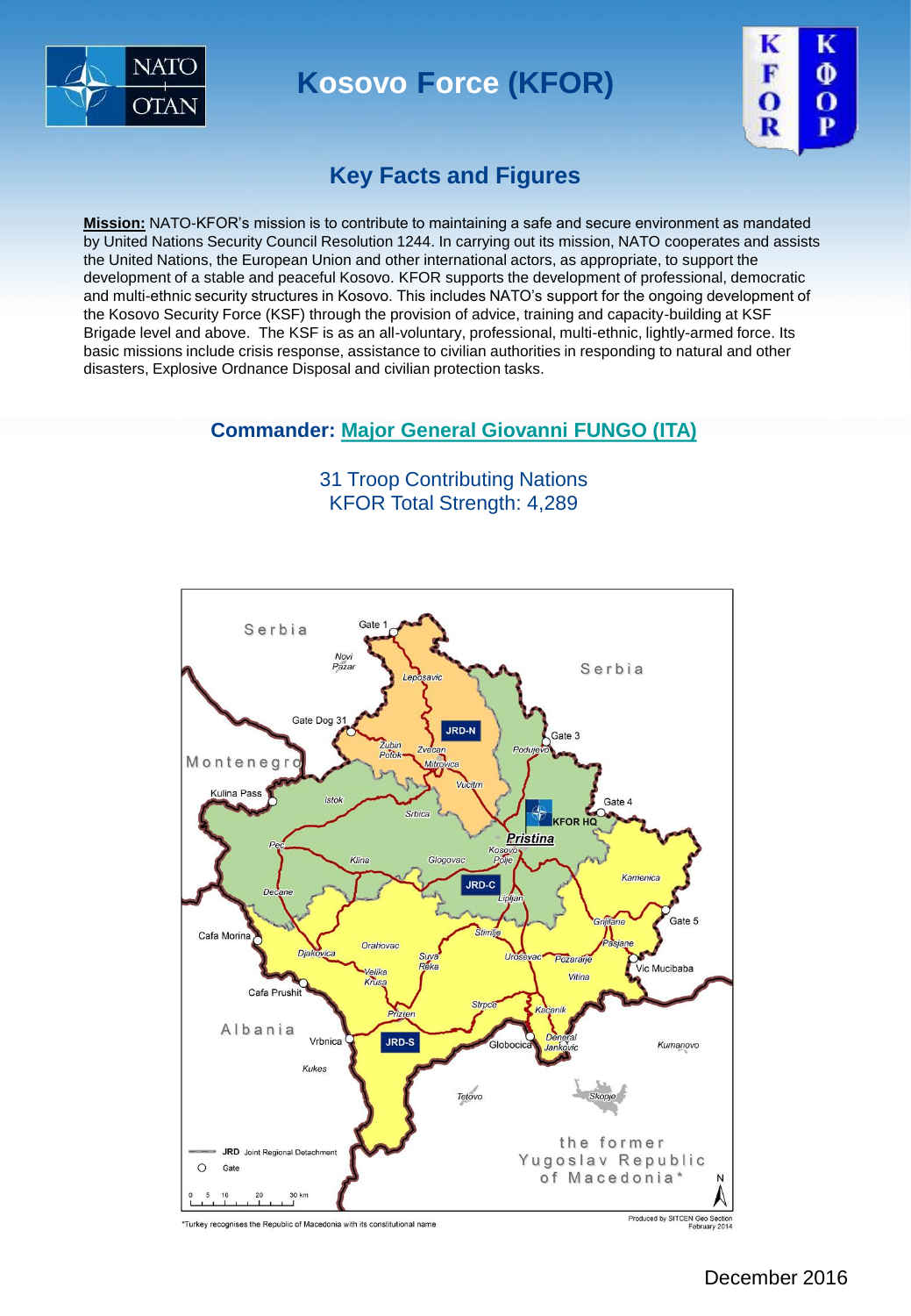

**Kosovo Force (KFOR) Kosovo Force**



### **Key Facts and Figures**

**Mission:** NATO-KFOR's mission is to contribute to maintaining a safe and secure environment as mandated by United Nations Security Council Resolution 1244. In carrying out its mission, NATO cooperates and assists the United Nations, the European Union and other international actors, as appropriate, to support the development of a stable and peaceful Kosovo. KFOR supports the development of professional, democratic and multi-ethnic security structures in Kosovo. This includes NATO's support for the ongoing development of the Kosovo Security Force (KSF) through the provision of advice, training and capacity-building at KSF Brigade level and above. The KSF is as an all-voluntary, professional, multi-ethnic, lightly-armed force. Its basic missions include crisis response, assistance to civilian authorities in responding to natural and other disasters, Explosive Ordnance Disposal and civilian protection tasks.

#### **Commander: [Major General Giovanni FUNGO \(ITA\)](http://jfcnaples.nato.int/kfor/about-us/whos-who-at-com-kfor/bio)**

31 Troop Contributing Nations KFOR Total Strength: 4,289

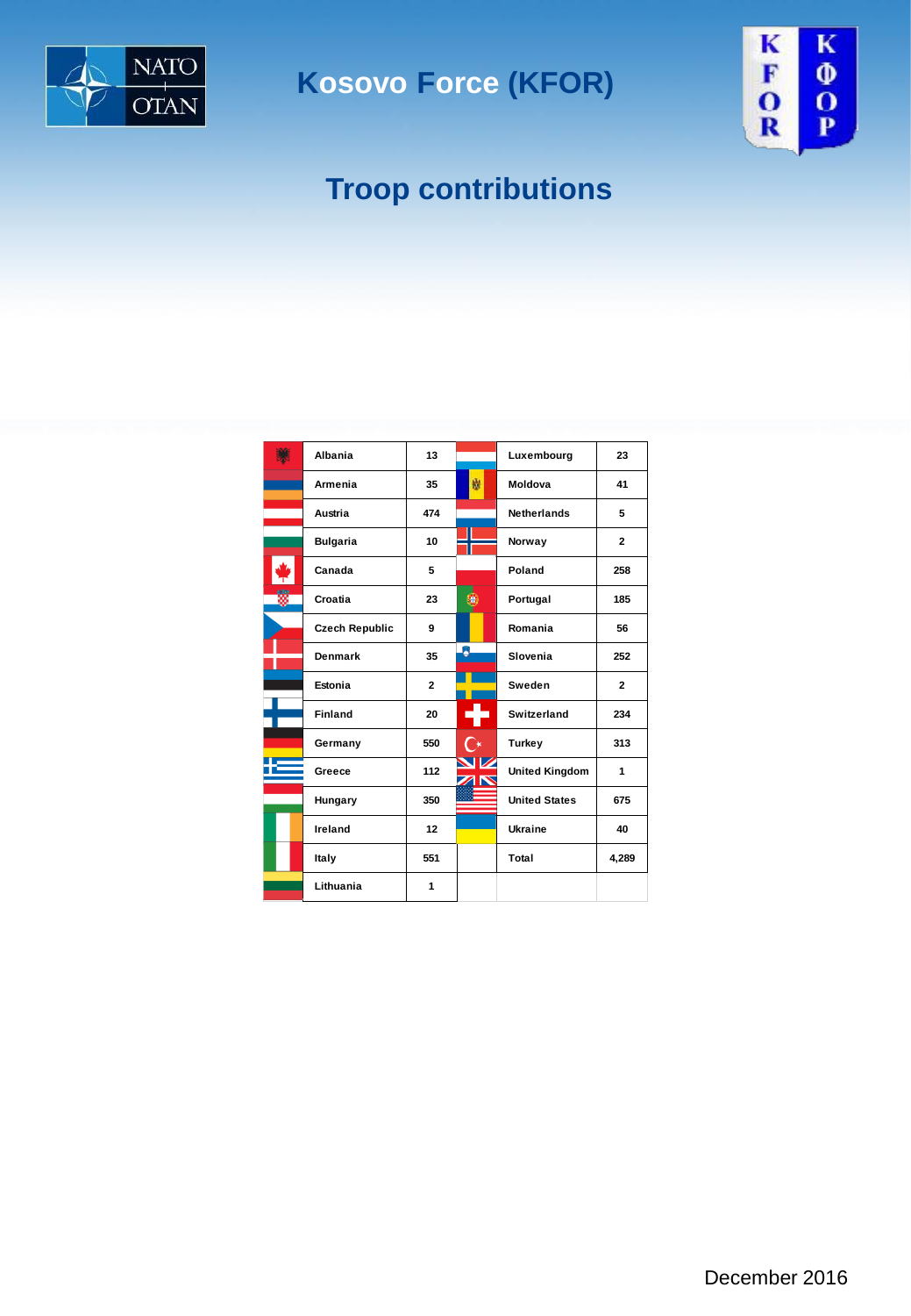

**Kosovo Force (KFOR) Kosovo Force**



# **Troop contributions**

|   | Albania               | 13             |                | Luxembourg            | 23             |
|---|-----------------------|----------------|----------------|-----------------------|----------------|
|   | Armenia               | 35             | 巍              | Moldova               | 41             |
|   | Austria               | 474            |                | <b>Netherlands</b>    | 5              |
|   | <b>Bulgaria</b>       | 10             |                | Norway                | $\overline{2}$ |
|   | Canada                | 5              |                | Poland                | 258            |
| ã | Croatia               | 23             |                | Portugal              | 185            |
|   | <b>Czech Republic</b> | 9              |                | Romania               | 56             |
|   | <b>Denmark</b>        | 35             | 8              | Slovenia              | 252            |
|   | Estonia               | $\overline{2}$ |                | Sweden                | $\overline{2}$ |
|   | <b>Finland</b>        | 20             |                | Switzerland           | 234            |
|   | Germany               | 550            | $\mathsf{C}^*$ | Turkey                | 313            |
|   | Greece                | 112            | ZN             | <b>United Kingdom</b> | 1              |
|   | Hungary               | 350            |                | <b>United States</b>  | 675            |
|   | Ireland               | 12             |                | Ukraine               | 40             |
|   | Italy                 | 551            |                | Total                 | 4,289          |
|   | Lithuania             | 1              |                |                       |                |
|   |                       |                |                |                       |                |